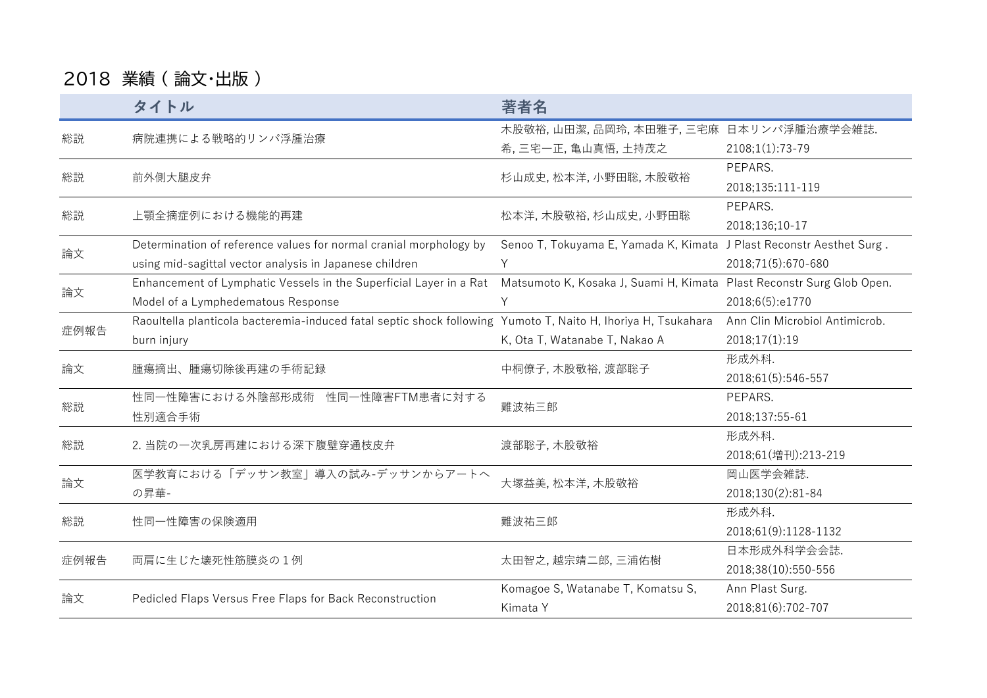## 2018 業績 ( 論文・出版 )

|                  | タイトル                                                                                                          | 著者名                                                                                                                                                                                                                                                        |                                |
|------------------|---------------------------------------------------------------------------------------------------------------|------------------------------------------------------------------------------------------------------------------------------------------------------------------------------------------------------------------------------------------------------------|--------------------------------|
| 総説               | 病院連携による戦略的リンパ浮腫治療                                                                                             | 木股敬裕,山田潔,品岡玲,本田雅子,三宅麻 日本リンパ浮腫治療学会雑誌.                                                                                                                                                                                                                       |                                |
|                  |                                                                                                               | 希,三宅一正, 亀山真悟, 土持茂之                                                                                                                                                                                                                                         | $2108;1(1):73-79$              |
| 総説               | 前外側大腿皮弁                                                                                                       | 杉山成史, 松本洋, 小野田聡, 木股敬裕                                                                                                                                                                                                                                      | PEPARS.                        |
|                  |                                                                                                               |                                                                                                                                                                                                                                                            | 2018;135:111-119               |
| 総説               | 上顎全摘症例における機能的再建                                                                                               | 松本洋,木股敬裕,杉山成史,小野田聡                                                                                                                                                                                                                                         | PEPARS.                        |
|                  |                                                                                                               |                                                                                                                                                                                                                                                            | 2018;136;10-17                 |
| 論文               | Determination of reference values for normal cranial morphology by                                            |                                                                                                                                                                                                                                                            |                                |
|                  | using mid-sagittal vector analysis in Japanese children                                                       | Y                                                                                                                                                                                                                                                          | 2018;71(5):670-680             |
|                  | Enhancement of Lymphatic Vessels in the Superficial Layer in a Rat                                            |                                                                                                                                                                                                                                                            |                                |
|                  | Model of a Lymphedematous Response                                                                            | Υ                                                                                                                                                                                                                                                          | 2018;6(5):e1770                |
| 論文<br>症例報告<br>論文 | Raoultella planticola bacteremia-induced fatal septic shock following Yumoto T, Naito H, Ihoriya H, Tsukahara |                                                                                                                                                                                                                                                            | Ann Clin Microbiol Antimicrob. |
|                  | burn injury                                                                                                   | K, Ota T, Watanabe T, Nakao A                                                                                                                                                                                                                              | 2018;17(1):19                  |
|                  | 腫瘍摘出、腫瘍切除後再建の手術記録                                                                                             | 中桐僚子, 木股敬裕, 渡部聡子                                                                                                                                                                                                                                           | 形成外科.                          |
|                  |                                                                                                               |                                                                                                                                                                                                                                                            | 2018;61(5):546-557             |
| 総説               | 性同一性障害における外陰部形成術 性同一性障害FTM患者に対する                                                                              |                                                                                                                                                                                                                                                            | PEPARS.                        |
|                  | 性別適合手術                                                                                                        |                                                                                                                                                                                                                                                            | 2018;137:55-61                 |
| 総説               | 2. 当院の一次乳房再建における深下腹壁穿通枝皮弁                                                                                     |                                                                                                                                                                                                                                                            | 形成外科.                          |
|                  |                                                                                                               |                                                                                                                                                                                                                                                            | 2018;61(増刊):213-219            |
|                  | 医学教育における「デッサン教室」導入の試み-デッサンからアートへ                                                                              | Senoo T, Tokuyama E, Yamada K, Kimata J Plast Reconstr Aesthet Surg.<br>Matsumoto K, Kosaka J, Suami H, Kimata Plast Reconstr Surg Glob Open.<br>難波祐三郎<br>渡部聡子, 木股敬裕<br>大塚益美, 松本洋, 木股敬裕<br>難波祐三郎<br>太田智之, 越宗靖二郎, 三浦佑樹<br>Komagoe S, Watanabe T, Komatsu S, | 岡山医学会雑誌.                       |
| 論文               | の昇華-                                                                                                          |                                                                                                                                                                                                                                                            | 2018;130(2):81-84              |
| 総説               | 性同一性障害の保険適用                                                                                                   |                                                                                                                                                                                                                                                            | 形成外科.                          |
|                  |                                                                                                               |                                                                                                                                                                                                                                                            | 2018;61(9):1128-1132           |
| 症例報告             | 両肩に生じた壊死性筋膜炎の1例                                                                                               |                                                                                                                                                                                                                                                            | 日本形成外科学会会誌.                    |
|                  |                                                                                                               |                                                                                                                                                                                                                                                            | 2018;38(10):550-556            |
| 論文               | Pedicled Flaps Versus Free Flaps for Back Reconstruction                                                      |                                                                                                                                                                                                                                                            | Ann Plast Surg.                |
|                  |                                                                                                               | Kimata Y                                                                                                                                                                                                                                                   | 2018;81(6):702-707             |